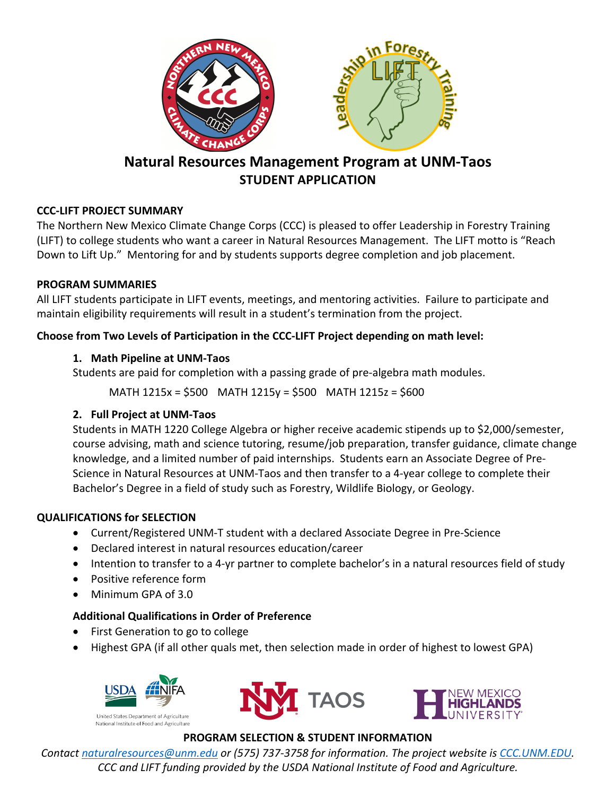

## **Natural Resources Management Program at UNM-Taos STUDENT APPLICATION**

## **CCC-LIFT PROJECT SUMMARY**

The Northern New Mexico Climate Change Corps (CCC) is pleased to offer Leadership in Forestry Training (LIFT) to college students who want a career in Natural Resources Management. The LIFT motto is "Reach Down to Lift Up." Mentoring for and by students supports degree completion and job placement.

## **PROGRAM SUMMARIES**

All LIFT students participate in LIFT events, meetings, and mentoring activities. Failure to participate and maintain eligibility requirements will result in a student's termination from the project.

## **Choose from Two Levels of Participation in the CCC-LIFT Project depending on math level:**

## **1. Math Pipeline at UNM-Taos**

Students are paid for completion with a passing grade of pre-algebra math modules.

MATH 1215x = \$500 MATH 1215y = \$500 MATH 1215z = \$600

## **2. Full Project at UNM-Taos**

Students in MATH 1220 College Algebra or higher receive academic stipends up to \$2,000/semester, course advising, math and science tutoring, resume/job preparation, transfer guidance, climate change knowledge, and a limited number of paid internships. Students earn an Associate Degree of Pre-Science in Natural Resources at UNM-Taos and then transfer to a 4-year college to complete their Bachelor's Degree in a field of study such as Forestry, Wildlife Biology, or Geology.

## **QUALIFICATIONS for SELECTION**

- Current/Registered UNM-T student with a declared Associate Degree in Pre-Science
- Declared interest in natural resources education/career
- Intention to transfer to a 4-yr partner to complete bachelor's in a natural resources field of study
- Positive reference form
- Minimum GPA of 3.0

## **Additional Qualifications in Order of Preference**

- First Generation to go to college
- Highest GPA (if all other quals met, then selection made in order of highest to lowest GPA)







# National Institute of Food and Agriculture<br>**PROGRAM SELECTION & STUDENT INFORMATION**

*Contact naturalresources@unm.edu or (575) 737-3758 for information. The project website is CCC.UNM.EDU. CCC and LIFT funding provided by the USDA National Institute of Food and Agriculture.*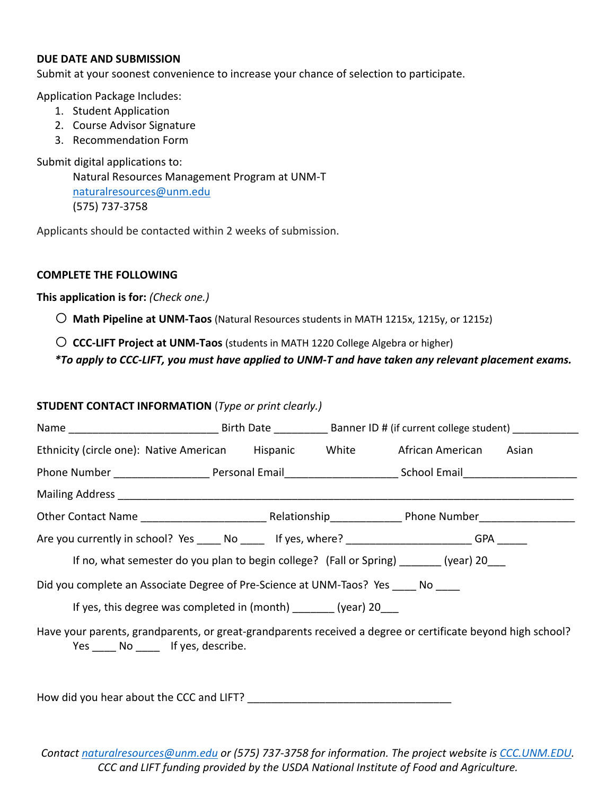### **DUE DATE AND SUBMISSION**

Submit at your soonest convenience to increase your chance of selection to participate.

Application Package Includes:

- 1. Student Application
- 2. Course Advisor Signature
- 3. Recommendation Form

Submit digital applications to:

Natural Resources Management Program at UNM-T naturalresources@unm.edu (575) 737-3758

Applicants should be contacted within 2 weeks of submission.

### **COMPLETE THE FOLLOWING**

**This application is for:** *(Check one.)*

o **Math Pipeline at UNM-Taos** (Natural Resources students in MATH 1215x, 1215y, or 1215z)

o **CCC-LIFT Project at UNM-Taos** (students in MATH 1220 College Algebra or higher)

*\*To apply to CCC-LIFT, you must have applied to UNM-T and have taken any relevant placement exams.*

### **STUDENT CONTACT INFORMATION** (*Type or print clearly.)*

| Ethnicity (circle one): Native American Hispanic White African American Asian                                                           |  |  |  |  |  |  |  |
|-----------------------------------------------------------------------------------------------------------------------------------------|--|--|--|--|--|--|--|
| Phone Number ___________________________Personal Email___________________________School Email_________________                          |  |  |  |  |  |  |  |
|                                                                                                                                         |  |  |  |  |  |  |  |
|                                                                                                                                         |  |  |  |  |  |  |  |
| Are you currently in school? Yes _____ No _____ If yes, where? ____________________GPA _____                                            |  |  |  |  |  |  |  |
| If no, what semester do you plan to begin college? (Fall or Spring) (year) 20                                                           |  |  |  |  |  |  |  |
| Did you complete an Associate Degree of Pre-Science at UNM-Taos? Yes Mo                                                                 |  |  |  |  |  |  |  |
| If yes, this degree was completed in (month) ________ (year) 20____                                                                     |  |  |  |  |  |  |  |
| Have your parents, grandparents, or great-grandparents received a degree or certificate beyond high school?<br>Yes No If yes, describe. |  |  |  |  |  |  |  |

How did you hear about the CCC and LIFT?

*Contact naturalresources@unm.edu or (575) 737-3758 for information. The project website is CCC.UNM.EDU. CCC and LIFT funding provided by the USDA National Institute of Food and Agriculture.*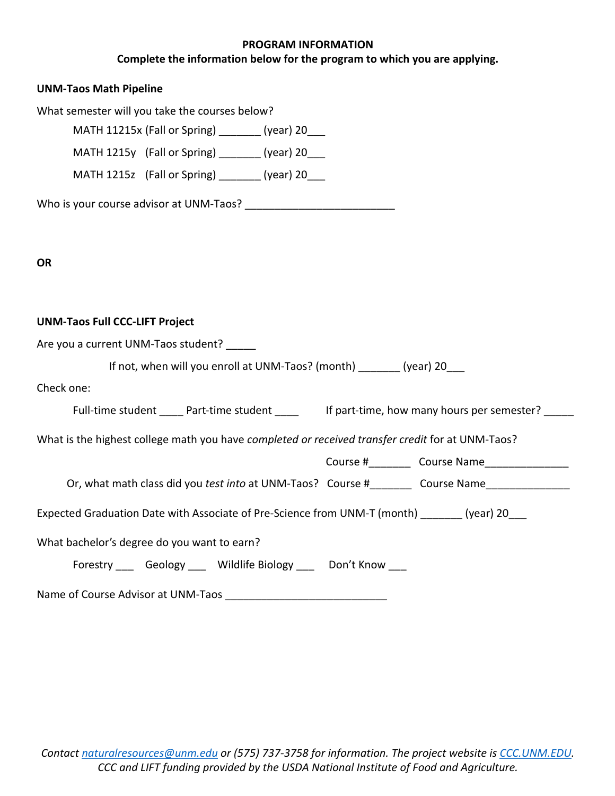### **PROGRAM INFORMATION**

## **Complete the information below for the program to which you are applying.**

| <b>UNM-Taos Math Pipeline</b>                                                                    |  |
|--------------------------------------------------------------------------------------------------|--|
| What semester will you take the courses below?                                                   |  |
| MATH 11215x (Fall or Spring) _______ (year) 20___                                                |  |
| MATH 1215y (Fall or Spring) ________ (year) 20___                                                |  |
| MATH 1215z (Fall or Spring) ________ (year) 20___                                                |  |
|                                                                                                  |  |
|                                                                                                  |  |
| <b>OR</b>                                                                                        |  |
|                                                                                                  |  |
| <b>UNM-Taos Full CCC-LIFT Project</b>                                                            |  |
| Are you a current UNM-Taos student?                                                              |  |
| If not, when will you enroll at UNM-Taos? (month) _______ (year) 20___                           |  |
| Check one:                                                                                       |  |
| Full-time student _____ Part-time student _____ lf part-time, how many hours per semester? _____ |  |
| What is the highest college math you have completed or received transfer credit for at UNM-Taos? |  |
|                                                                                                  |  |
| Or, what math class did you test into at UNM-Taos? Course # Course Name                          |  |
| Expected Graduation Date with Associate of Pre-Science from UNM-T (month) _______ (year) 20___   |  |
| What bachelor's degree do you want to earn?                                                      |  |
| Forestry ____ Geology ____ Wildlife Biology ____ Don't Know ____                                 |  |
|                                                                                                  |  |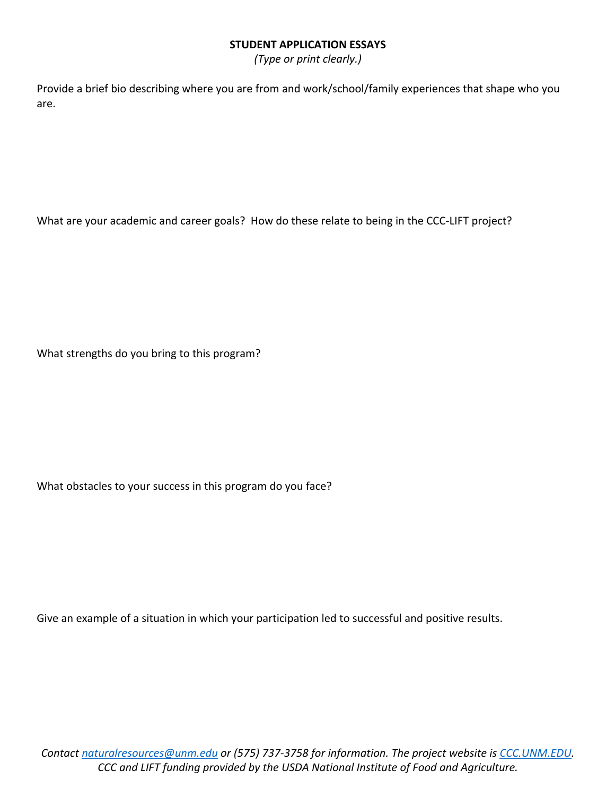### **STUDENT APPLICATION ESSAYS**

*(Type or print clearly.)*

Provide a brief bio describing where you are from and work/school/family experiences that shape who you are.

What are your academic and career goals? How do these relate to being in the CCC-LIFT project?

What strengths do you bring to this program?

What obstacles to your success in this program do you face?

Give an example of a situation in which your participation led to successful and positive results.